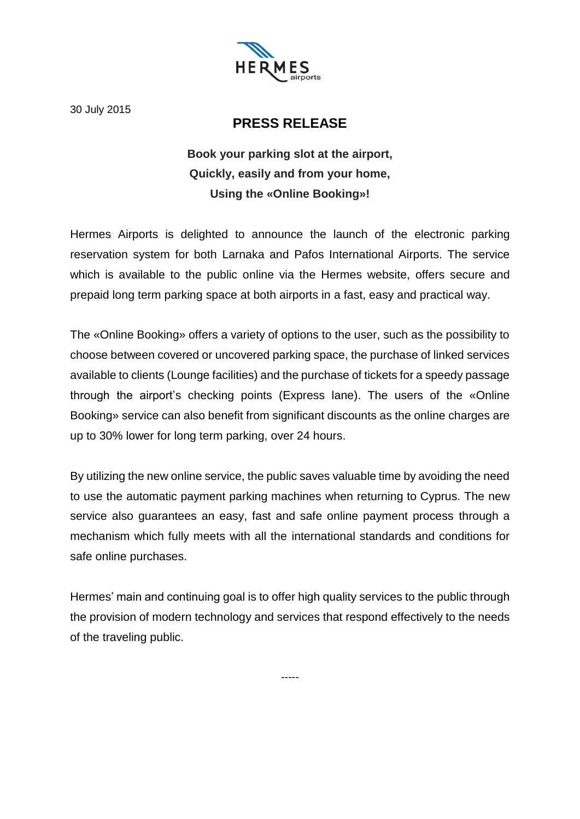

30 July 2015

## **PRESS RELEASE**

## **Book your parking slot at the airport, Quickly, easily and from your home, Using the «Online Booking»!**

Hermes Airports is delighted to announce the launch of the electronic parking reservation system for both Larnaka and Pafos International Airports. The service which is available to the public online via the Hermes website, offers secure and prepaid long term parking space at both airports in a fast, easy and practical way.

The «Online Booking» offers a variety of options to the user, such as the possibility to choose between covered or uncovered parking space, the purchase of linked services available to clients (Lounge facilities) and the purchase of tickets for a speedy passage through the airport's checking points (Express lane). The users of the «Online Booking» service can also benefit from significant discounts as the online charges are up to 30% lower for long term parking, over 24 hours.

By utilizing the new online service, the public saves valuable time by avoiding the need to use the automatic payment parking machines when returning to Cyprus. The new service also guarantees an easy, fast and safe online payment process through a mechanism which fully meets with all the international standards and conditions for safe online purchases.

Hermes' main and continuing goal is to offer high quality services to the public through the provision of modern technology and services that respond effectively to the needs of the traveling public.

-----